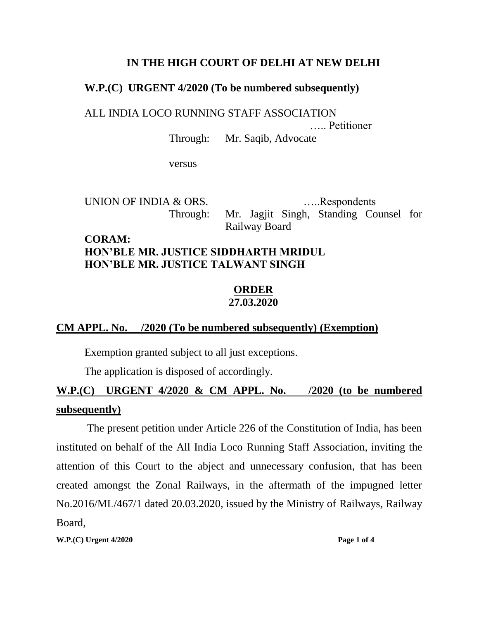#### **IN THE HIGH COURT OF DELHI AT NEW DELHI**

#### **W.P.(C) URGENT 4/2020 (To be numbered subsequently)**

ALL INDIA LOCO RUNNING STAFF ASSOCIATION

….. Petitioner

Through: Mr. Saqib, Advocate

versus

UNION OF INDIA & ORS. ......Respondents Through: Mr. Jagjit Singh, Standing Counsel for Railway Board

## **CORAM: HON'BLE MR. JUSTICE SIDDHARTH MRIDUL HON'BLE MR. JUSTICE TALWANT SINGH**

#### **ORDER 27.03.2020**

## **CM APPL. No. /2020 (To be numbered subsequently) (Exemption)**

Exemption granted subject to all just exceptions.

The application is disposed of accordingly.

# **W.P.(C) URGENT 4/2020 & CM APPL. No. /2020 (to be numbered subsequently)**

The present petition under Article 226 of the Constitution of India, has been instituted on behalf of the All India Loco Running Staff Association, inviting the attention of this Court to the abject and unnecessary confusion, that has been created amongst the Zonal Railways, in the aftermath of the impugned letter No.2016/ML/467/1 dated 20.03.2020, issued by the Ministry of Railways, Railway Board,

**W.P.(C)** Urgent 4/2020 **Page 1 of 4**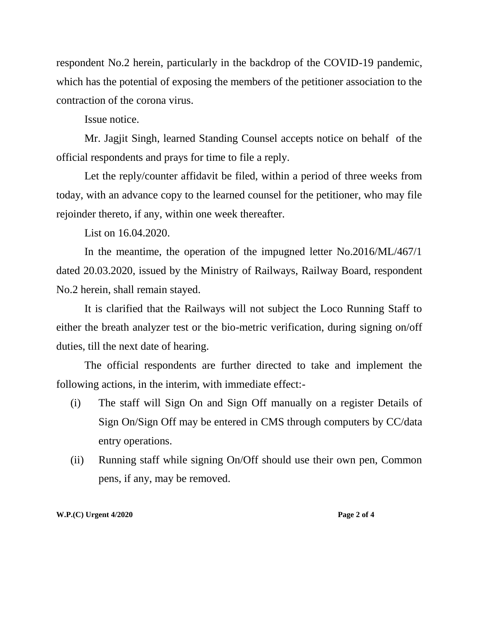respondent No.2 herein, particularly in the backdrop of the COVID-19 pandemic, which has the potential of exposing the members of the petitioner association to the contraction of the corona virus.

Issue notice.

Mr. Jagjit Singh, learned Standing Counsel accepts notice on behalf of the official respondents and prays for time to file a reply.

Let the reply/counter affidavit be filed, within a period of three weeks from today, with an advance copy to the learned counsel for the petitioner, who may file rejoinder thereto, if any, within one week thereafter.

List on 16.04.2020.

In the meantime, the operation of the impugned letter No.2016/ML/467/1 dated 20.03.2020, issued by the Ministry of Railways, Railway Board, respondent No.2 herein, shall remain stayed.

It is clarified that the Railways will not subject the Loco Running Staff to either the breath analyzer test or the bio-metric verification, during signing on/off duties, till the next date of hearing.

The official respondents are further directed to take and implement the following actions, in the interim, with immediate effect:-

- (i) The staff will Sign On and Sign Off manually on a register Details of Sign On/Sign Off may be entered in CMS through computers by CC/data entry operations.
- (ii) Running staff while signing On/Off should use their own pen, Common pens, if any, may be removed.

**W.P.(C) Urgent 4/2020 Page 2 of 4**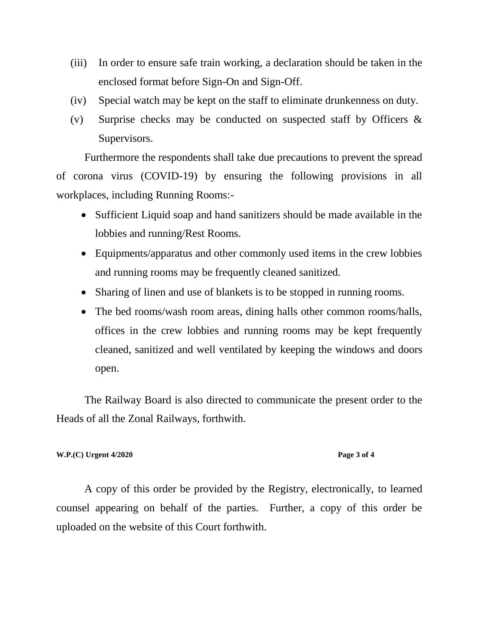- (iii) In order to ensure safe train working, a declaration should be taken in the enclosed format before Sign-On and Sign-Off.
- (iv) Special watch may be kept on the staff to eliminate drunkenness on duty.
- (v) Surprise checks may be conducted on suspected staff by Officers & Supervisors.

Furthermore the respondents shall take due precautions to prevent the spread of corona virus (COVID-19) by ensuring the following provisions in all workplaces, including Running Rooms:-

- Sufficient Liquid soap and hand sanitizers should be made available in the lobbies and running/Rest Rooms.
- Equipments/apparatus and other commonly used items in the crew lobbies and running rooms may be frequently cleaned sanitized.
- Sharing of linen and use of blankets is to be stopped in running rooms.
- The bed rooms/wash room areas, dining halls other common rooms/halls, offices in the crew lobbies and running rooms may be kept frequently cleaned, sanitized and well ventilated by keeping the windows and doors open.

The Railway Board is also directed to communicate the present order to the Heads of all the Zonal Railways, forthwith.

#### **W.P.(C) Urgent 4/2020 Page 3 of 4**

A copy of this order be provided by the Registry, electronically, to learned counsel appearing on behalf of the parties. Further, a copy of this order be uploaded on the website of this Court forthwith.